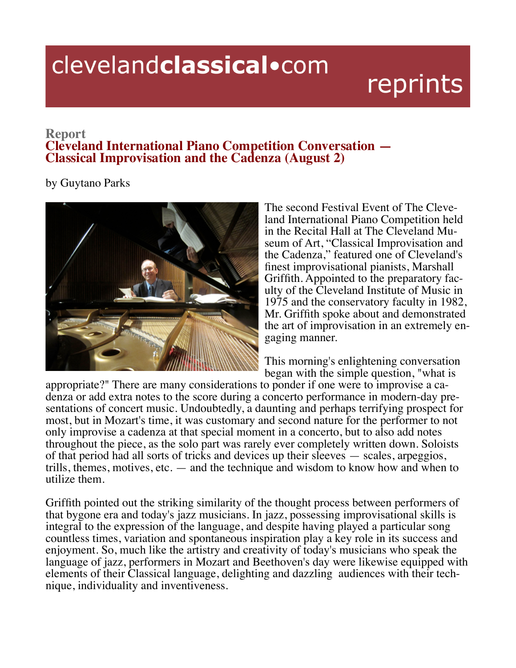## clevelandclassical.com

## reprints

## **Report Cleveland International Piano Competition Conversation — Classical Improvisation and the Cadenza (August 2)**

by Guytano Parks



The second Festival Event of The Cleveland International Piano Competition held in the Recital Hall at The Cleveland Mu- seum of Art, "Classical Improvisation and the Cadenza," featured one of Cleveland's finest improvisational pianists, Marshall Griffith. Appointed to the preparatory faculty of the Cleveland Institute of Music in 1975 and the conservatory faculty in 1982, Mr. Griffith spoke about and demonstrated the art of improvisation in an extremely engaging manner.

This morning's enlightening conversation

began with the simple question, "what is<br>appropriate?" There are many considerations to ponder if one were to improvise a cadenza or add extra notes to the score during a concerto performance in modern-day presentations of concert music. Undoubtedly, a daunting and perhaps terrifying prospect for most, but in Mozart's time, it was customary and second nature for the performer to not only improvise a cadenza at that special moment in a concerto, but to also add notes throughout the piece, as the solo part was rarely ever completely written down. Soloists of that period had all sorts of tricks and devices up their sleeves — scales, arpeggios, trills, themes, motives, etc.  $-$  and the technique and wisdom to know how and when to utilize them.

Griffith pointed out the striking similarity of the thought process between performers of that bygone era and today's jazz musicians. In jazz, possessing improvisational skills is integral to the expression of the language, and despite having played a particular song countless times, variation and spontaneous inspiration play a key role in its success and enjoyment. So, much like the artistry and creativity of today's musicians who speak the language of jazz, performers in Mozart and Beethoven's day were likewise equipped with elements of their Classical language, delighting and dazzling audiences with their technique, individuality and inventiveness.